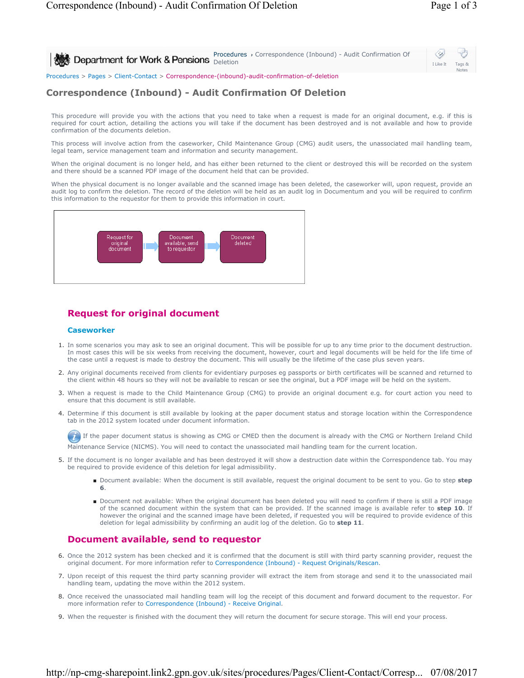| Procedures > Correspondence (Inbound) - Audit Confirmation Of<br>Department for Work & Pensions <b>Procedure</b> | I Like It | Tags &<br><b>Notes</b> |  |
|------------------------------------------------------------------------------------------------------------------|-----------|------------------------|--|
| Procedures > Pages > Client-Contact > Correspondence-(inbound)-audit-confirmation-of-deletion                    |           |                        |  |

# **Correspondence (Inbound) - Audit Confirmation Of Deletion**

This procedure will provide you with the actions that you need to take when a request is made for an original document, e.g. if this is required for court action, detailing the actions you will take if the document has been destroyed and is not available and how to provide confirmation of the documents deletion.

This process will involve action from the caseworker, Child Maintenance Group (CMG) audit users, the unassociated mail handling team, legal team, service management team and information and security management.

When the original document is no longer held, and has either been returned to the client or destroyed this will be recorded on the system and there should be a scanned PDF image of the document held that can be provided.

When the physical document is no longer available and the scanned image has been deleted, the caseworker will, upon request, provide an audit log to confirm the deletion. The record of the deletion will be held as an audit log in Documentum and you will be required to confirm this information to the requestor for them to provide this information in court.



## **Request for original document**

#### **Caseworker**

- 1. In some scenarios you may ask to see an original document. This will be possible for up to any time prior to the document destruction. In most cases this will be six weeks from receiving the document, however, court and legal documents will be held for the life time of the case until a request is made to destroy the document. This will usually be the lifetime of the case plus seven years.
- 2. Any original documents received from clients for evidentiary purposes eg passports or birth certificates will be scanned and returned to the client within 48 hours so they will not be available to rescan or see the original, but a PDF image will be held on the system.
- 3. When a request is made to the Child Maintenance Group (CMG) to provide an original document e.g. for court action you need to ensure that this document is still available.
- 4. Determine if this document is still available by looking at the paper document status and storage location within the Correspondence tab in the 2012 system located under document information.

If the paper document status is showing as CMG or CMED then the document is already with the CMG or Northern Ireland Child Maintenance Service (NICMS). You will need to contact the unassociated mail handling team for the current location.

- 5. If the document is no longer available and has been destroyed it will show a destruction date within the Correspondence tab. You may be required to provide evidence of this deletion for legal admissibility.
	- Document available: When the document is still available, request the original document to be sent to you. Go to step step **6**.
	- Document not available: When the original document has been deleted you will need to confirm if there is still a PDF image of the scanned document within the system that can be provided. If the scanned image is available refer to **step 10**. If however the original and the scanned image have been deleted, if requested you will be required to provide evidence of this deletion for legal admissibility by confirming an audit log of the deletion. Go to **step 11**.

## **Document available, send to requestor**

- 6. Once the 2012 system has been checked and it is confirmed that the document is still with third party scanning provider, request the original document. For more information refer to Correspondence (Inbound) - Request Originals/Rescan.
- 7. Upon receipt of this request the third party scanning provider will extract the item from storage and send it to the unassociated mail handling team, updating the move within the 2012 system.
- 8. Once received the unassociated mail handling team will log the receipt of this document and forward document to the requestor. For more information refer to Correspondence (Inbound) - Receive Original.
- 9. When the requester is finished with the document they will return the document for secure storage. This will end your process.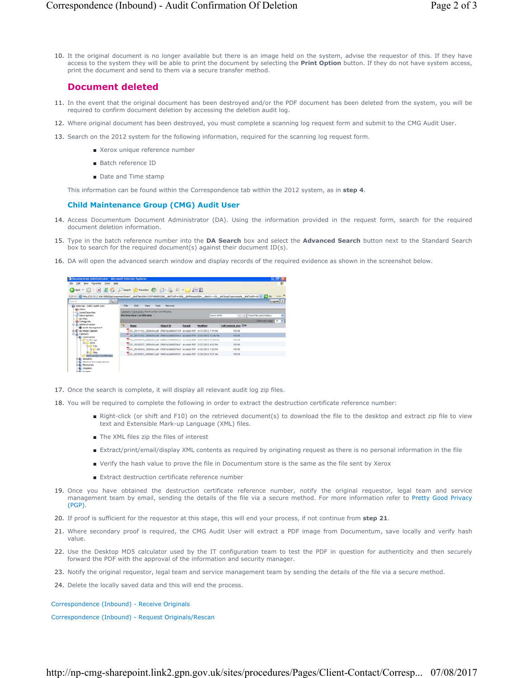10. It the original document is no longer available but there is an image held on the system, advise the requestor of this. If they have access to the system they will be able to print the document by selecting the **Print Option** button. If they do not have system access, print the document and send to them via a secure transfer method.

## **Document deleted**

- 11. In the event that the original document has been destroyed and/or the PDF document has been deleted from the system, you will be required to confirm document deletion by accessing the deletion audit log.
- 12. Where original document has been destroyed, you must complete a scanning log request form and submit to the CMG Audit User.
- 13. Search on the 2012 system for the following information, required for the scanning log request form.
	- Xerox unique reference number
	- Batch reference ID
	- Date and Time stamp

This information can be found within the Correspondence tab within the 2012 system, as in **step 4**.

### **Child Maintenance Group (CMG) Audit User**

- 14. Access Documentum Document Administrator (DA). Using the information provided in the request form, search for the required document deletion information.
- 15. Type in the batch reference number into the DA Search box and select the Advanced Search button next to the Standard Search box to search for the required document(s) against their document ID(s).
- 16. DA will open the advanced search window and display records of the required evidence as shown in the screenshot below.



- 17. Once the search is complete, it will display all relevant audit log zip files.
- 18. You will be required to complete the following in order to extract the destruction certificate reference number:
	- Right-click (or shift and F10) on the retrieved document(s) to download the file to the desktop and extract zip file to view text and Extensible Mark-up Language (XML) files.
	- The XML files zip the files of interest
	- Extract/print/email/display XML contents as required by originating request as there is no personal information in the file
	- Verify the hash value to prove the file in Documentum store is the same as the file sent by Xerox
	- Extract destruction certificate reference number
- 19. Once you have obtained the destruction certificate reference number, notify the original requestor, legal team and service management team by email, sending the details of the file via a secure method. For more information refer to Pretty Good Privacy (PGP).
- 20. If proof is sufficient for the requestor at this stage, this will end your process, if not continue from **step 21**.
- 21. Where secondary proof is required, the CMG Audit User will extract a PDF image from Documentum, save locally and verify hash value.
- 22. Use the Desktop MD5 calculator used by the IT configuration team to test the PDF in question for authenticity and then securely forward the PDF with the approval of the information and security manager.
- 23. Notify the original requestor, legal team and service management team by sending the details of the file via a secure method.
- 24. Delete the locally saved data and this will end the process.

Correspondence (Inbound) - Receive Originals

Correspondence (Inbound) - Request Originals/Rescan